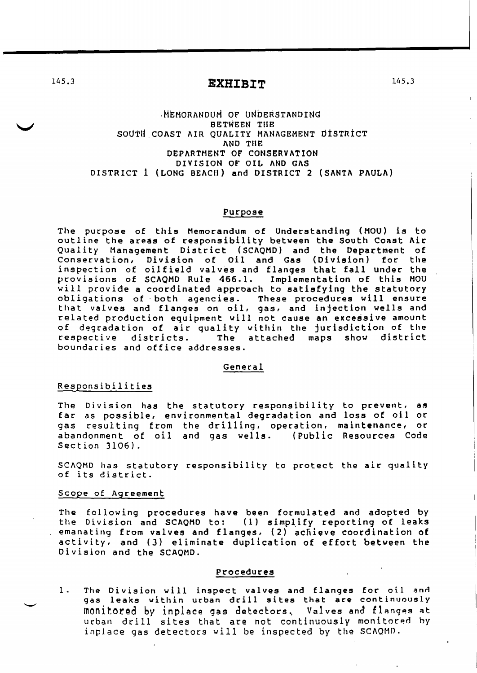145.3 **EXHIBIT** 

# .MEMORANDUM OF UNDERSTANDING BETWEEN TilE SOUTH COAST AIR QUALITY MANAGEMENT DISTRICT AND TilE DEPARTMENT OF CONSERVATION DIVISION or OIL AND GAS DISTRICT 1 (LONG BEACH) and DISTRICT 2 (SANTA PAULA)

#### Purpose

The purpose of this Memorandum of Understanding (MOU) is to outline the areas of responsibility between the South Coast Air Quality Management District (SCAQMD) and the Department of Conservation, Division of Oil and Gas (Division) for the inspection of oilfield valves and flanges that fall under the provisions of SCAQMD Rule 466.1. Implementation of this MOU will provide a coordinated approach to satisfying the statutory obligations of both agencies. These procedures will ensure that valves and flanges on oil, gas, and injection wells and related production equipment will not cause an excessive amount of degradation of air quality within the jurisdiction of the respective districts. The attached maps show district respective districts. The attached maps show district<br>boundaries and office addresses.

#### General

#### Responsibilities

The Division has the statutory responsibility to prevent, as far as possible, environmental degradation and loss of oil or gas resulting from the drilling, operation, maintenance, or abandonment of oil and gas wells. (Public Resources Code Section 3106).

SCAQMD has statutory responsibility to protect the air quality of its district.

### Scope of Agreement

The following procedures have been formulated and adopted by the Division and SCAQMD to: (1) simplify reporting of leaks emanating from valves and flanges, (2) achieve coordination of activity, and (3) eliminate duplication of effort between the Division and the SCAQMD.

### Procedures

1. The Division will inspect valves and flanges for oil and ine bivision with inspect valves and tranges for oir and monitored by inplace gas detectors. Valves and flanges at urban drill sites that are not continuously monitored by inplace gas detectors will be inspected by the SCAOMD.

145.3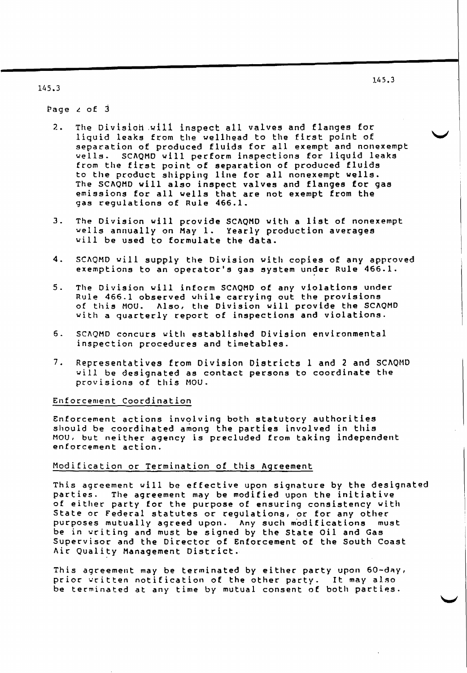J.45.3

## 145.3

Page  $\angle$  of  $\beta$ 

- 2. The Division will inspect all valves and flanges for liquid leaks from the wellhead to the first point of separation of produced fluids for all exempt and nonexempt<br>vells. SCAOMD will perform inspections for liguid leaks SCAQMD will perform inspections for liquid leaks from the first point of separation of produced fluids to the product shipping line for all nonexempt wells. The SCAQMD will also inspect valves and flanges for gas emissions for all wells that are not exempt from the gas regulations of Rule 466.1.
- 3. The Division will provide SCAQHD with a list of nonexempt wells annually on May 1. Yearly production averages will be used to formulate the data.
- 4. SCAQMD will supply the Division with copies of any approved exemptions to an operator's gas system under Rule 466.1.
- 5. The Division will inform SCAQMD of any violations under Rule 466.1 observed while carrying out the provisions of this NOU. Also, the Division will provide the SCAQMD with a quarterly report of inspections and violations.
- 6. SCAOMD concurs with established Division environmental inspection procedures and timetables.
- 7. Representatives from Division Districts 1 and 2 and SCAQMD will be designated as contact persons to coordinate the provisions of this MOU.

#### Enforcement Coordination

Enforcement actions involving both statutory authorities should be coordihated among the parties involved in this MOU, but neither agency is precluded from taking independent enforcement action.

### Modification or Termination of this Agreement

This agreement will be effective upon signature by the designated<br>parties. The agreement may be modified upon the initiative The agreement may be modified upon the initiative of either party for the purpose of ensuring consistency with State or Federal statutes or regulations, or for any other purposes mutually agreed upon. Any such modifications must be in writing and must be signed by the state oil and Gas Supervisor and the Director of Enforcement of the south Coast Air Quality Management District.

This agreement may be terminated by either party upon  $60 - day$ , prior written notification of the other party. It may also be terminated at any time by mutual consent of both parties.